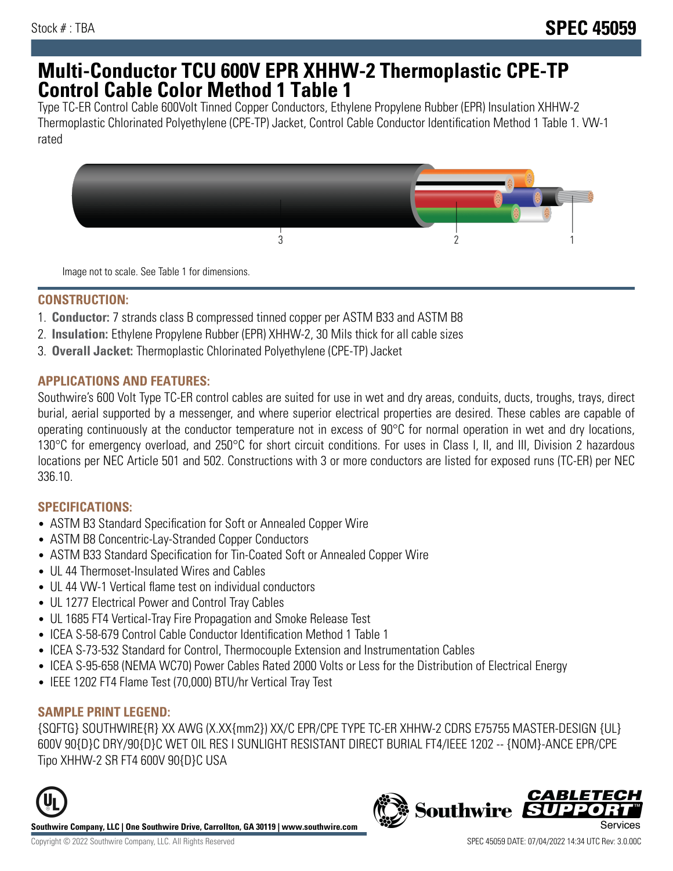# **Multi-Conductor TCU 600V EPR XHHW-2 Thermoplastic CPE-TP Control Cable Color Method 1 Table 1**

Type TC-ER Control Cable 600Volt Tinned Copper Conductors, Ethylene Propylene Rubber (EPR) Insulation XHHW-2 Thermoplastic Chlorinated Polyethylene (CPE-TP) Jacket, Control Cable Conductor Identification Method 1 Table 1. VW-1 rated



Image not to scale. See Table 1 for dimensions.

#### **CONSTRUCTION:**

- 1. **Conductor:** 7 strands class B compressed tinned copper per ASTM B33 and ASTM B8
- 2. **Insulation:** Ethylene Propylene Rubber (EPR) XHHW-2, 30 Mils thick for all cable sizes
- 3. **Overall Jacket:** Thermoplastic Chlorinated Polyethylene (CPE-TP) Jacket

### **APPLICATIONS AND FEATURES:**

Southwire's 600 Volt Type TC-ER control cables are suited for use in wet and dry areas, conduits, ducts, troughs, trays, direct burial, aerial supported by a messenger, and where superior electrical properties are desired. These cables are capable of operating continuously at the conductor temperature not in excess of 90°C for normal operation in wet and dry locations, 130°C for emergency overload, and 250°C for short circuit conditions. For uses in Class I, II, and III, Division 2 hazardous locations per NEC Article 501 and 502. Constructions with 3 or more conductors are listed for exposed runs (TC-ER) per NEC 336.10.

# **SPECIFICATIONS:**

- ASTM B3 Standard Specification for Soft or Annealed Copper Wire
- ASTM B8 Concentric-Lay-Stranded Copper Conductors
- ASTM B33 Standard Specification for Tin-Coated Soft or Annealed Copper Wire
- UL 44 Thermoset-Insulated Wires and Cables
- UL 44 VW-1 Vertical flame test on individual conductors
- UL 1277 Electrical Power and Control Tray Cables
- UL 1685 FT4 Vertical-Tray Fire Propagation and Smoke Release Test
- ICEA S-58-679 Control Cable Conductor Identification Method 1 Table 1
- ICEA S-73-532 Standard for Control, Thermocouple Extension and Instrumentation Cables
- ICEA S-95-658 (NEMA WC70) Power Cables Rated 2000 Volts or Less for the Distribution of Electrical Energy
- IEEE 1202 FT4 Flame Test (70,000) BTU/hr Vertical Tray Test

# **SAMPLE PRINT LEGEND:**

{SQFTG} SOUTHWIRE{R} XX AWG (X.XX{mm2}) XX/C EPR/CPE TYPE TC-ER XHHW-2 CDRS E75755 MASTER-DESIGN {UL} 600V 90{D}C DRY/90{D}C WET OIL RES I SUNLIGHT RESISTANT DIRECT BURIAL FT4/IEEE 1202 -- {NOM}-ANCE EPR/CPE Tipo XHHW-2 SR FT4 600V 90{D}C USA



**Southwire Company, LLC | One Southwire Drive, Carrollton, GA 30119 | www.southwire.com**